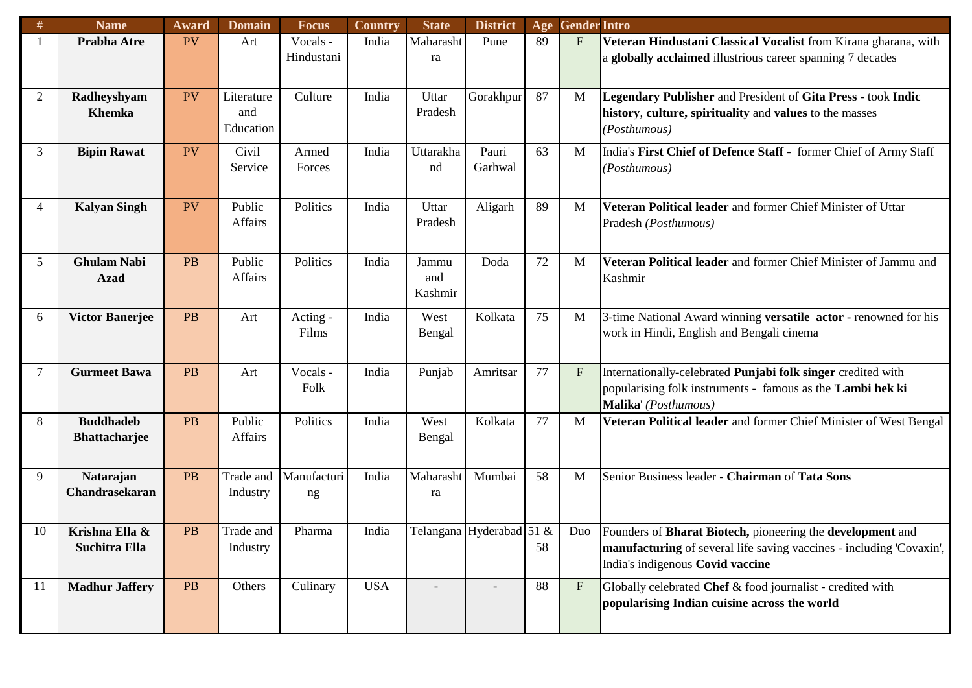| #              | <b>Name</b>            | Award     | <b>Domain</b> | <b>Focus</b> | Country    | <b>State</b> | <b>District</b>          | Age | <b>Gender Intro</b> |                                                                           |
|----------------|------------------------|-----------|---------------|--------------|------------|--------------|--------------------------|-----|---------------------|---------------------------------------------------------------------------|
|                | Prabha Atre            | PV        | Art           | Vocals -     | India      | Maharasht    | Pune                     | 89  | $F_{\rm}$           | Veteran Hindustani Classical Vocalist from Kirana gharana, with           |
|                |                        |           |               | Hindustani   |            | ra           |                          |     |                     | a globally acclaimed illustrious career spanning 7 decades                |
|                |                        |           |               |              |            |              |                          |     |                     |                                                                           |
| $\overline{2}$ | Radheyshyam            | PV        | Literature    | Culture      | India      | Uttar        | Gorakhpur                | 87  | M                   | Legendary Publisher and President of Gita Press - took Indic              |
|                | <b>Khemka</b>          |           | and           |              |            | Pradesh      |                          |     |                     | history, culture, spirituality and values to the masses                   |
|                |                        |           | Education     |              |            |              |                          |     |                     | (Posthumous)                                                              |
|                |                        |           |               |              |            |              |                          |     |                     |                                                                           |
| 3              | <b>Bipin Rawat</b>     | PV        | Civil         | Armed        | India      | Uttarakha    | Pauri                    | 63  | M                   | India's First Chief of Defence Staff - former Chief of Army Staff         |
|                |                        |           | Service       | Forces       |            | nd           | Garhwal                  |     |                     | (Posthumous)                                                              |
|                |                        |           |               |              |            |              |                          |     |                     |                                                                           |
| 4              | <b>Kalyan Singh</b>    | <b>PV</b> | Public        | Politics     | India      | Uttar        | Aligarh                  | 89  | M                   | Veteran Political leader and former Chief Minister of Uttar               |
|                |                        |           | Affairs       |              |            | Pradesh      |                          |     |                     | Pradesh (Posthumous)                                                      |
|                |                        |           |               |              |            |              |                          |     |                     |                                                                           |
|                |                        |           |               |              |            |              |                          |     |                     |                                                                           |
| 5              | <b>Ghulam Nabi</b>     | <b>PB</b> | Public        | Politics     | India      | Jammu        | Doda                     | 72  | M                   | Veteran Political leader and former Chief Minister of Jammu and           |
|                | <b>Azad</b>            |           | Affairs       |              |            | and          |                          |     |                     | Kashmir                                                                   |
|                |                        |           |               |              |            | Kashmir      |                          |     |                     |                                                                           |
| 6              | <b>Victor Banerjee</b> | <b>PB</b> | Art           | Acting -     | India      | West         | Kolkata                  | 75  | M                   | 3-time National Award winning versatile actor - renowned for his          |
|                |                        |           |               | Films        |            | Bengal       |                          |     |                     | work in Hindi, English and Bengali cinema                                 |
|                |                        |           |               |              |            |              |                          |     |                     |                                                                           |
| 7              | <b>Gurmeet Bawa</b>    | <b>PB</b> | Art           | Vocals -     | India      | Punjab       | Amritsar                 | 77  | $\rm F$             |                                                                           |
|                |                        |           |               |              |            |              |                          |     |                     | Internationally-celebrated Punjabi folk singer credited with              |
|                |                        |           |               | Folk         |            |              |                          |     |                     | popularising folk instruments - famous as the 'Lambi hek ki               |
|                |                        |           |               |              |            |              |                          |     |                     | Malika' (Posthumous)                                                      |
| 8              | <b>Buddhadeb</b>       | <b>PB</b> | Public        | Politics     | India      | West         | Kolkata                  | 77  | M                   | Veteran Political leader and former Chief Minister of West Bengal         |
|                | <b>Bhattacharjee</b>   |           | Affairs       |              |            | Bengal       |                          |     |                     |                                                                           |
|                |                        |           |               |              |            |              |                          |     |                     |                                                                           |
| 9              | Natarajan              | <b>PB</b> | Trade and     | Manufacturi  | India      | Maharasht    | Mumbai                   | 58  | M                   | Senior Business leader - Chairman of Tata Sons                            |
|                | Chandrasekaran         |           | Industry      | ng           |            | ra           |                          |     |                     |                                                                           |
|                |                        |           |               |              |            |              |                          |     |                     |                                                                           |
| 10             | Krishna Ella &         | PB        | Trade and     | Pharma       | India      |              | Telangana Hyderabad 51 & |     | Duo                 | Founders of <b>Bharat Biotech</b> , pioneering the <b>development</b> and |
|                | Suchitra Ella          |           | Industry      |              |            |              |                          | 58  |                     | manufacturing of several life saving vaccines - including 'Covaxin',      |
|                |                        |           |               |              |            |              |                          |     |                     | India's indigenous Covid vaccine                                          |
|                |                        |           |               |              |            |              |                          |     |                     |                                                                           |
| 11             | <b>Madhur Jaffery</b>  | PB        | Others        | Culinary     | <b>USA</b> |              |                          | 88  | $\rm F$             | Globally celebrated Chef & food journalist - credited with                |
|                |                        |           |               |              |            |              |                          |     |                     | popularising Indian cuisine across the world                              |
|                |                        |           |               |              |            |              |                          |     |                     |                                                                           |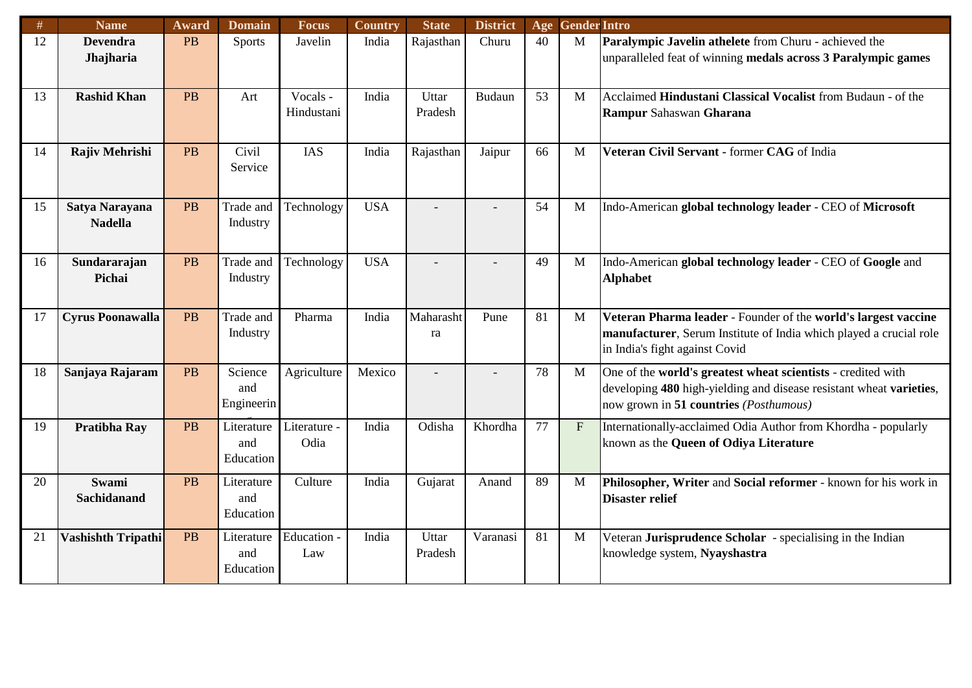| #  | <b>Name</b>               | Award     | <b>Domain</b> | <b>Focus</b> | Country    | <b>State</b> | <b>District</b> |    | Age Gender Intro |                                                                     |
|----|---------------------------|-----------|---------------|--------------|------------|--------------|-----------------|----|------------------|---------------------------------------------------------------------|
| 12 | <b>Devendra</b>           | <b>PB</b> | <b>Sports</b> | Javelin      | India      | Rajasthan    | Churu           | 40 | M                | Paralympic Javelin athelete from Churu - achieved the               |
|    | Jhajharia                 |           |               |              |            |              |                 |    |                  | unparalleled feat of winning medals across 3 Paralympic games       |
|    |                           |           |               |              |            |              |                 |    |                  |                                                                     |
| 13 | <b>Rashid Khan</b>        | PB        | Art           | Vocals -     | India      | Uttar        | Budaun          | 53 | M                | Acclaimed Hindustani Classical Vocalist from Budaun - of the        |
|    |                           |           |               | Hindustani   |            | Pradesh      |                 |    |                  | Rampur Sahaswan Gharana                                             |
|    |                           |           |               |              |            |              |                 |    |                  |                                                                     |
| 14 | Rajiv Mehrishi            | <b>PB</b> | Civil         | <b>IAS</b>   | India      | Rajasthan    | Jaipur          | 66 | $\mathbf{M}$     | Veteran Civil Servant - former CAG of India                         |
|    |                           |           | Service       |              |            |              |                 |    |                  |                                                                     |
|    |                           |           |               |              |            |              |                 |    |                  |                                                                     |
| 15 | Satya Narayana            | <b>PB</b> | Trade and     | Technology   | <b>USA</b> |              |                 | 54 | M                | Indo-American global technology leader - CEO of Microsoft           |
|    | <b>Nadella</b>            |           | Industry      |              |            |              |                 |    |                  |                                                                     |
|    |                           |           |               |              |            |              |                 |    |                  |                                                                     |
| 16 | Sundararajan              | PB        | Trade and     | Technology   | <b>USA</b> |              |                 | 49 | M                | Indo-American global technology leader - CEO of Google and          |
|    | Pichai                    |           | Industry      |              |            |              |                 |    |                  | <b>Alphabet</b>                                                     |
|    |                           |           |               |              |            |              |                 |    |                  |                                                                     |
| 17 | <b>Cyrus Poonawalla</b>   | <b>PB</b> | Trade and     | Pharma       | India      | Maharasht    | Pune            | 81 | M                | Veteran Pharma leader - Founder of the world's largest vaccine      |
|    |                           |           | Industry      |              |            | ra           |                 |    |                  | manufacturer, Serum Institute of India which played a crucial role  |
|    |                           |           |               |              |            |              |                 |    |                  | in India's fight against Covid                                      |
| 18 | Sanjaya Rajaram           | <b>PB</b> | Science       | Agriculture  | Mexico     |              |                 | 78 | M                | One of the world's greatest wheat scientists - credited with        |
|    |                           |           | and           |              |            |              |                 |    |                  | developing 480 high-yielding and disease resistant wheat varieties, |
|    |                           |           | Engineerin    |              |            |              |                 |    |                  | now grown in 51 countries (Posthumous)                              |
| 19 | <b>Pratibha Ray</b>       | <b>PB</b> | Literature    | Literature - | India      | Odisha       | Khordha         | 77 | $F_{\parallel}$  | Internationally-acclaimed Odia Author from Khordha - popularly      |
|    |                           |           | and           | Odia         |            |              |                 |    |                  | known as the Queen of Odiya Literature                              |
|    |                           |           | Education     |              |            |              |                 |    |                  |                                                                     |
| 20 | Swami                     | <b>PB</b> | Literature    | Culture      | India      | Gujarat      | Anand           | 89 | M                | Philosopher, Writer and Social reformer - known for his work in     |
|    | <b>Sachidanand</b>        |           | and           |              |            |              |                 |    |                  | <b>Disaster relief</b>                                              |
|    |                           |           | Education     |              |            |              |                 |    |                  |                                                                     |
| 21 | <b>Vashishth Tripathi</b> | PB        | Literature    | Education -  | India      | Uttar        | Varanasi        | 81 | M                | Veteran Jurisprudence Scholar - specialising in the Indian          |
|    |                           |           | and           | Law          |            | Pradesh      |                 |    |                  | knowledge system, Nyayshastra                                       |
|    |                           |           | Education     |              |            |              |                 |    |                  |                                                                     |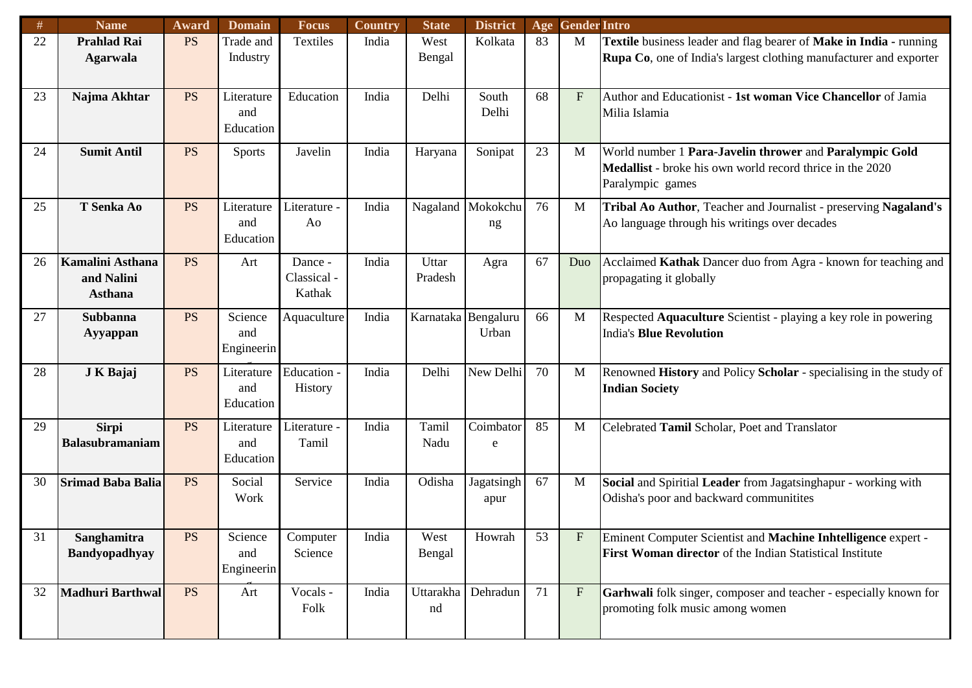| #  | <b>Name</b>                                      | Award                    | <b>Domain</b>                  | <b>Focus</b>                     | Country | <b>State</b>               | <b>District</b>         | Age | <b>Gender Intro</b>       |                                                                                                                                          |
|----|--------------------------------------------------|--------------------------|--------------------------------|----------------------------------|---------|----------------------------|-------------------------|-----|---------------------------|------------------------------------------------------------------------------------------------------------------------------------------|
| 22 | <b>Prahlad Rai</b><br><b>Agarwala</b>            | <b>PS</b>                | Trade and<br>Industry          | Textiles                         | India   | West<br>Bengal             | Kolkata                 | 83  | M                         | Textile business leader and flag bearer of Make in India - running<br>Rupa Co, one of India's largest clothing manufacturer and exporter |
| 23 | Najma Akhtar                                     | <b>PS</b>                | Literature<br>and<br>Education | Education                        | India   | Delhi                      | South<br>Delhi          | 68  | F                         | Author and Educationist - 1st woman Vice Chancellor of Jamia<br>Milia Islamia                                                            |
| 24 | <b>Sumit Antil</b>                               | <b>PS</b>                | <b>Sports</b>                  | Javelin                          | India   | Haryana                    | Sonipat                 | 23  | M                         | World number 1 Para-Javelin thrower and Paralympic Gold<br>Medallist - broke his own world record thrice in the 2020<br>Paralympic games |
| 25 | T Senka Ao                                       | <b>PS</b>                | Literature<br>and<br>Education | Literature -<br>Ao               | India   |                            | Nagaland Mokokchu<br>ng | 76  | M                         | Tribal Ao Author, Teacher and Journalist - preserving Nagaland's<br>Ao language through his writings over decades                        |
| 26 | Kamalini Asthana<br>and Nalini<br><b>Asthana</b> | <b>PS</b>                | Art                            | Dance -<br>Classical -<br>Kathak | India   | Uttar<br>Pradesh           | Agra                    | 67  | Duo                       | Acclaimed Kathak Dancer duo from Agra - known for teaching and<br>propagating it globally                                                |
| 27 | <b>Subbanna</b><br>Ayyappan                      | <b>PS</b>                | Science<br>and<br>Engineerin   | Aquaculture                      | India   | Karnataka Bengaluru        | Urban                   | 66  | M                         | Respected Aquaculture Scientist - playing a key role in powering<br><b>India's Blue Revolution</b>                                       |
| 28 | J K Bajaj                                        | <b>PS</b>                | Literature<br>and<br>Education | Education -<br>History           | India   | Delhi                      | New Delhi               | 70  | M                         | Renowned History and Policy Scholar - specialising in the study of<br><b>Indian Society</b>                                              |
| 29 | <b>Sirpi</b><br><b>Balasubramaniam</b>           | <b>PS</b>                | Literature<br>and<br>Education | Literature -<br>Tamil            | India   | Tamil<br>Nadu              | Coimbator<br>e          | 85  | M                         | Celebrated Tamil Scholar, Poet and Translator                                                                                            |
| 30 | <b>Srimad Baba Balia</b>                         | <b>PS</b>                | Social<br>Work                 | Service                          | India   | Odisha                     | Jagatsingh<br>apur      | 67  | M                         | Social and Spiritial Leader from Jagatsinghapur - working with<br>Odisha's poor and backward communitites                                |
| 31 | Sanghamitra<br><b>Bandyopadhyay</b>              | $\overline{\mathrm{PS}}$ | Science<br>and<br>Engineerin   | Computer<br>Science              | India   | West<br>Bengal             | Howrah                  | 53  | F                         | Eminent Computer Scientist and Machine Inhtelligence expert -<br>First Woman director of the Indian Statistical Institute                |
| 32 | <b>Madhuri Barthwal</b>                          | <b>PS</b>                | Art                            | Vocals -<br>Folk                 | India   | Uttarakha   Dehradun<br>nd |                         | 71  | $\boldsymbol{\mathrm{F}}$ | Garhwali folk singer, composer and teacher - especially known for<br>promoting folk music among women                                    |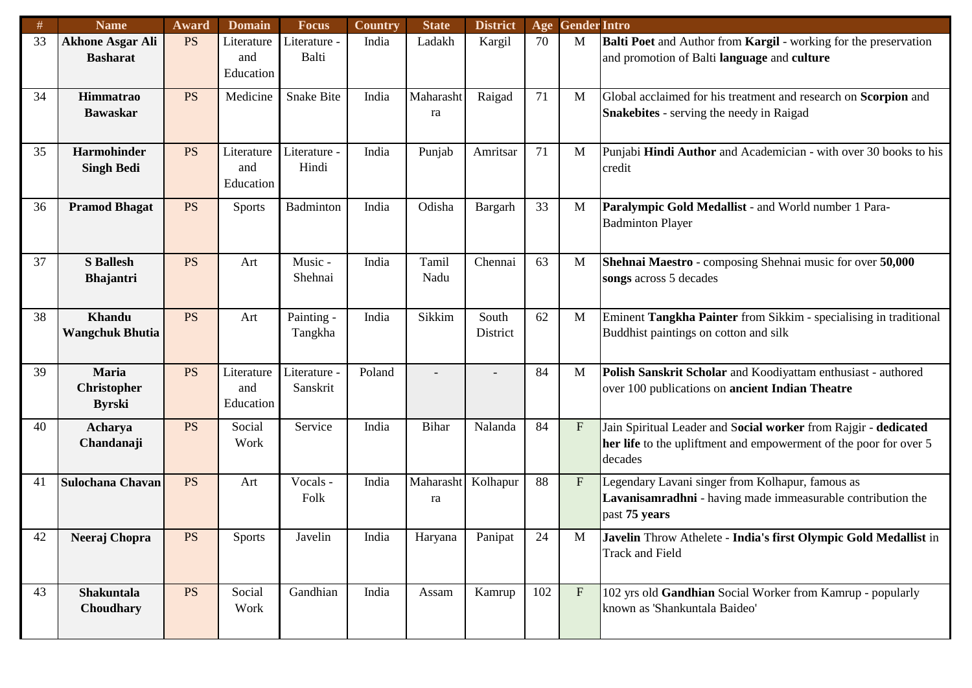| #  | <b>Name</b>                                | Award                    | <b>Domain</b>                  | <b>Focus</b>             | Country | <b>State</b>    | <b>District</b>   | Age | <b>Gender Intro</b>       |                                                                                                                                                 |
|----|--------------------------------------------|--------------------------|--------------------------------|--------------------------|---------|-----------------|-------------------|-----|---------------------------|-------------------------------------------------------------------------------------------------------------------------------------------------|
| 33 | <b>Akhone Asgar Ali</b><br><b>Basharat</b> | <b>PS</b>                | Literature<br>and<br>Education | Literature -<br>Balti    | India   | Ladakh          | Kargil            | 70  | M                         | Balti Poet and Author from Kargil - working for the preservation<br>and promotion of Balti language and culture                                 |
| 34 | Himmatrao<br><b>Bawaskar</b>               | <b>PS</b>                | Medicine                       | <b>Snake Bite</b>        | India   | Maharasht<br>ra | Raigad            | 71  | M                         | Global acclaimed for his treatment and research on Scorpion and<br><b>Snakebites</b> - serving the needy in Raigad                              |
| 35 | Harmohinder<br><b>Singh Bedi</b>           | <b>PS</b>                | Literature<br>and<br>Education | Literature -<br>Hindi    | India   | Punjab          | Amritsar          | 71  | M                         | Punjabi Hindi Author and Academician - with over 30 books to his<br>credit                                                                      |
| 36 | <b>Pramod Bhagat</b>                       | <b>PS</b>                | <b>Sports</b>                  | Badminton                | India   | Odisha          | Bargarh           | 33  | M                         | Paralympic Gold Medallist - and World number 1 Para-<br><b>Badminton Player</b>                                                                 |
| 37 | <b>S</b> Ballesh<br><b>Bhajantri</b>       | <b>PS</b>                | Art                            | Music -<br>Shehnai       | India   | Tamil<br>Nadu   | Chennai           | 63  | M                         | Shehnai Maestro - composing Shehnai music for over 50,000<br>songs across 5 decades                                                             |
| 38 | Khandu<br><b>Wangchuk Bhutia</b>           | <b>PS</b>                | Art                            | Painting -<br>Tangkha    | India   | Sikkim          | South<br>District | 62  | M                         | Eminent Tangkha Painter from Sikkim - specialising in traditional<br>Buddhist paintings on cotton and silk                                      |
| 39 | Maria<br>Christopher<br><b>Byrski</b>      | <b>PS</b>                | Literature<br>and<br>Education | Literature -<br>Sanskrit | Poland  |                 |                   | 84  | M                         | Polish Sanskrit Scholar and Koodiyattam enthusiast - authored<br>over 100 publications on ancient Indian Theatre                                |
| 40 | Acharya<br>Chandanaji                      | <b>PS</b>                | Social<br>Work                 | Service                  | India   | Bihar           | Nalanda           | 84  | F                         | Jain Spiritual Leader and Social worker from Rajgir - dedicated<br>her life to the upliftment and empowerment of the poor for over 5<br>decades |
| 41 | <b>Sulochana Chavan</b>                    | <b>PS</b>                | Art                            | Vocals -<br>Folk         | India   | Maharasht<br>ra | Kolhapur          | 88  | $\boldsymbol{\mathrm{F}}$ | Legendary Lavani singer from Kolhapur, famous as<br>Lavanisamradhni - having made immeasurable contribution the<br>past 75 years                |
| 42 | Neeraj Chopra                              | $\overline{\mathrm{PS}}$ | Sports                         | Javelin                  | India   | Haryana         | Panipat           | 24  | M                         | Javelin Throw Athelete - India's first Olympic Gold Medallist in<br><b>Track and Field</b>                                                      |
| 43 | Shakuntala<br>Choudhary                    | <b>PS</b>                | Social<br>Work                 | Gandhian                 | India   | Assam           | Kamrup            | 102 | $\mathbf{F}$              | 102 yrs old Gandhian Social Worker from Kamrup - popularly<br>known as 'Shankuntala Baideo'                                                     |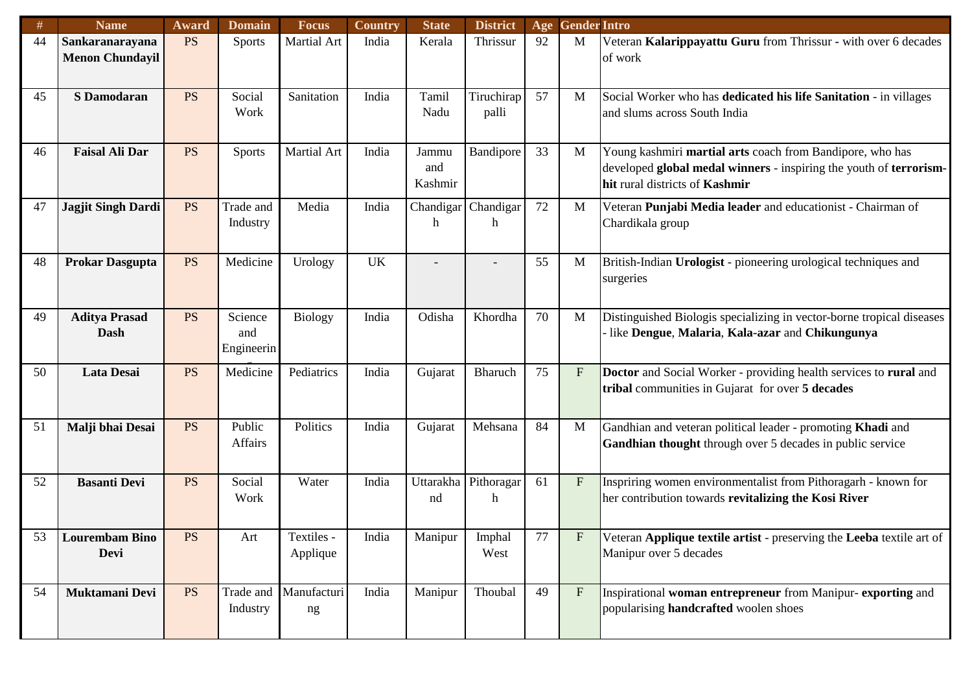| #  | <b>Name</b>               | Award     | <b>Domain</b> | <b>Focus</b>   | <b>Country</b> | <b>State</b> | <b>District</b> | Age | <b>Gender Intro</b>       |                                                                       |
|----|---------------------------|-----------|---------------|----------------|----------------|--------------|-----------------|-----|---------------------------|-----------------------------------------------------------------------|
| 44 | Sankaranarayana           | <b>PS</b> | <b>Sports</b> | Martial Art    | India          | Kerala       | Thrissur        | 92  | M                         | Veteran Kalarippayattu Guru from Thrissur - with over 6 decades       |
|    | <b>Menon Chundayil</b>    |           |               |                |                |              |                 |     |                           | of work                                                               |
|    |                           |           |               |                |                |              |                 |     |                           |                                                                       |
|    |                           |           |               |                |                |              |                 |     |                           |                                                                       |
| 45 | <b>S</b> Damodaran        | <b>PS</b> | Social        | Sanitation     | India          | Tamil        | Tiruchirap      | 57  | M                         | Social Worker who has dedicated his life Sanitation - in villages     |
|    |                           |           | Work          |                |                | Nadu         | palli           |     |                           | and slums across South India                                          |
|    |                           |           |               |                |                |              |                 |     |                           |                                                                       |
| 46 | <b>Faisal Ali Dar</b>     | <b>PS</b> | <b>Sports</b> | Martial Art    | India          | Jammu        | Bandipore       | 33  | M                         | Young kashmiri martial arts coach from Bandipore, who has             |
|    |                           |           |               |                |                | and          |                 |     |                           | developed global medal winners - inspiring the youth of terrorism-    |
|    |                           |           |               |                |                | Kashmir      |                 |     |                           | hit rural districts of Kashmir                                        |
|    |                           |           |               |                |                |              |                 |     |                           |                                                                       |
| 47 | <b>Jagjit Singh Dardi</b> | <b>PS</b> | Trade and     | Media          | India          | Chandigar    | Chandigar       | 72  | M                         | Veteran Punjabi Media leader and educationist - Chairman of           |
|    |                           |           | Industry      |                |                | h            | h               |     |                           | Chardikala group                                                      |
|    |                           |           |               |                |                |              |                 |     |                           |                                                                       |
| 48 | <b>Prokar Dasgupta</b>    | <b>PS</b> | Medicine      | Urology        | <b>UK</b>      |              |                 | 55  | M                         | British-Indian Urologist - pioneering urological techniques and       |
|    |                           |           |               |                |                |              |                 |     |                           | surgeries                                                             |
|    |                           |           |               |                |                |              |                 |     |                           |                                                                       |
|    |                           |           |               |                |                |              |                 |     |                           |                                                                       |
| 49 | <b>Aditya Prasad</b>      | <b>PS</b> | Science       | <b>Biology</b> | India          | Odisha       | Khordha         | 70  | M                         | Distinguished Biologis specializing in vector-borne tropical diseases |
|    | <b>Dash</b>               |           | and           |                |                |              |                 |     |                           | like Dengue, Malaria, Kala-azar and Chikungunya                       |
|    |                           |           | Engineerin    |                |                |              |                 |     |                           |                                                                       |
| 50 | <b>Lata Desai</b>         | <b>PS</b> | Medicine      | Pediatrics     | India          | Gujarat      | <b>Bharuch</b>  | 75  | $\mathbf{F}$              | Doctor and Social Worker - providing health services to rural and     |
|    |                           |           |               |                |                |              |                 |     |                           | tribal communities in Gujarat for over 5 decades                      |
|    |                           |           |               |                |                |              |                 |     |                           |                                                                       |
|    |                           |           |               |                |                |              |                 |     |                           |                                                                       |
| 51 | Malji bhai Desai          | <b>PS</b> | Public        | Politics       | India          | Gujarat      | Mehsana         | 84  | M                         | Gandhian and veteran political leader - promoting Khadi and           |
|    |                           |           | Affairs       |                |                |              |                 |     |                           | Gandhian thought through over 5 decades in public service             |
|    |                           |           |               |                |                |              |                 |     |                           |                                                                       |
| 52 | <b>Basanti Devi</b>       | <b>PS</b> | Social        | Water          | India          | Uttarakha    | Pithoragar      | 61  | $\boldsymbol{\mathrm{F}}$ | Inspriring women environmentalist from Pithoragarh - known for        |
|    |                           |           | Work          |                |                | nd           | h               |     |                           | her contribution towards revitalizing the Kosi River                  |
|    |                           |           |               |                |                |              |                 |     |                           |                                                                       |
|    |                           |           |               |                |                |              |                 |     |                           |                                                                       |
| 53 | <b>Lourembam Bino</b>     | <b>PS</b> | Art           | Textiles -     | India          | Manipur      | Imphal          | 77  | $\mathbf{F}$              | Veteran Applique textile artist - preserving the Leeba textile art of |
|    | Devi                      |           |               | Applique       |                |              | West            |     |                           | Manipur over 5 decades                                                |
|    |                           |           |               |                |                |              |                 |     |                           |                                                                       |
| 54 | Muktamani Devi            | <b>PS</b> | Trade and     | Manufacturi    | India          | Manipur      | Thoubal         | 49  | $\, {\bf F}$              | Inspirational woman entrepreneur from Manipur-exporting and           |
|    |                           |           | Industry      | ng             |                |              |                 |     |                           | popularising handcrafted woolen shoes                                 |
|    |                           |           |               |                |                |              |                 |     |                           |                                                                       |
|    |                           |           |               |                |                |              |                 |     |                           |                                                                       |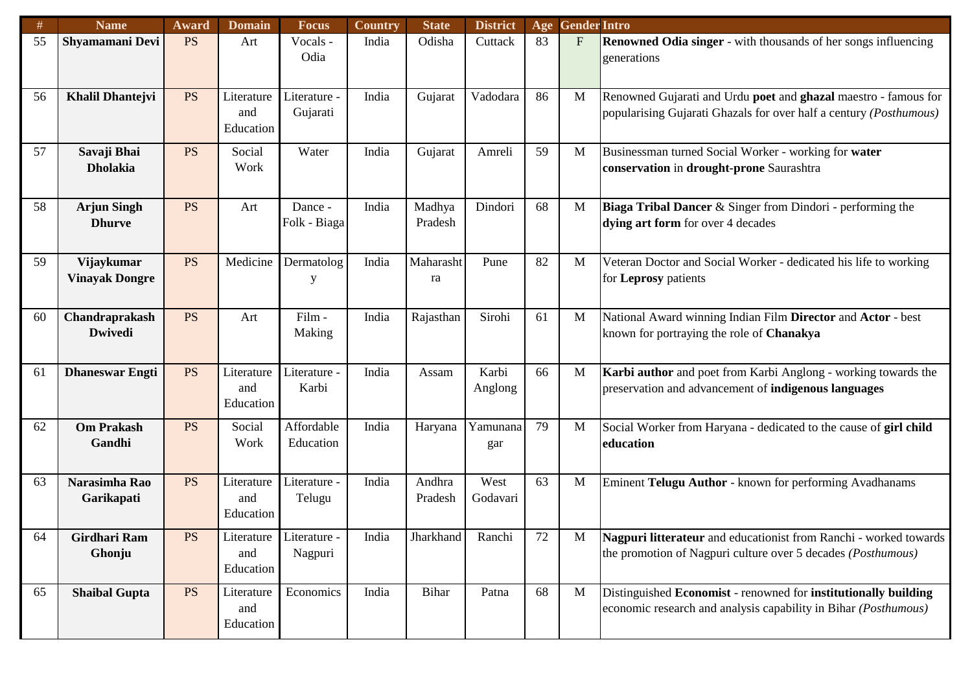| #  | <b>Name</b>                         | Award     | <b>Domain</b>                    | <b>Focus</b>             | <b>Country</b> | <b>State</b>      | <b>District</b>  | Age | <b>Gender Intro</b> |                                                                                                                                            |
|----|-------------------------------------|-----------|----------------------------------|--------------------------|----------------|-------------------|------------------|-----|---------------------|--------------------------------------------------------------------------------------------------------------------------------------------|
| 55 | Shyamamani Devi                     | <b>PS</b> | Art                              | Vocals -<br>Odia         | India          | Odisha            | Cuttack          | 83  | $F_{\rm}$           | <b>Renowned Odia singer</b> - with thousands of her songs influencing<br>generations                                                       |
| 56 | <b>Khalil Dhantejvi</b>             | <b>PS</b> | Literature<br>and<br>Education   | Literature -<br>Gujarati | India          | Gujarat           | Vadodara         | 86  | M                   | Renowned Gujarati and Urdu poet and ghazal maestro - famous for<br>popularising Gujarati Ghazals for over half a century (Posthumous)      |
| 57 | Savaji Bhai<br><b>Dholakia</b>      | <b>PS</b> | Social<br>Work                   | Water                    | India          | Gujarat           | Amreli           | 59  | M                   | Businessman turned Social Worker - working for water<br>conservation in drought-prone Saurashtra                                           |
| 58 | <b>Arjun Singh</b><br><b>Dhurve</b> | <b>PS</b> | Art                              | Dance -<br>Folk - Biaga  | India          | Madhya<br>Pradesh | Dindori          | 68  | M                   | Biaga Tribal Dancer & Singer from Dindori - performing the<br>dying art form for over 4 decades                                            |
| 59 | Vijaykumar<br><b>Vinayak Dongre</b> | <b>PS</b> | Medicine                         | Dermatolog<br>y          | India          | Maharasht<br>ra   | Pune             | 82  | M                   | Veteran Doctor and Social Worker - dedicated his life to working<br>for Leprosy patients                                                   |
| 60 | Chandraprakash<br><b>Dwivedi</b>    | <b>PS</b> | Art                              | Film -<br>Making         | India          | Rajasthan         | Sirohi           | 61  | M                   | National Award winning Indian Film Director and Actor - best<br>known for portraying the role of Chanakya                                  |
| 61 | <b>Dhaneswar Engti</b>              | <b>PS</b> | Literature<br>and<br>Education   | Literature -<br>Karbi    | India          | Assam             | Karbi<br>Anglong | 66  | M                   | Karbi author and poet from Karbi Anglong - working towards the<br>preservation and advancement of indigenous languages                     |
| 62 | <b>Om Prakash</b><br>Gandhi         | <b>PS</b> | Social<br>Work                   | Affordable<br>Education  | India          | Haryana           | Yamunana<br>gar  | 79  | M                   | Social Worker from Haryana - dedicated to the cause of girl child<br>education                                                             |
| 63 | Narasimha Rao<br>Garikapati         | <b>PS</b> | Literature<br>and<br>Education   | Literature -<br>Telugu   | India          | Andhra<br>Pradesh | West<br>Godavari | 63  | M                   | Eminent Telugu Author - known for performing Avadhanams                                                                                    |
| 64 | Girdhari Ram<br>Ghonju              | <b>PS</b> | Literature  <br>and<br>Education | Literature -<br>Nagpuri  | India          | Jharkhand         | Ranchi           | 72  | M                   | Nagpuri litterateur and educationist from Ranchi - worked towards<br>the promotion of Nagpuri culture over 5 decades ( <i>Posthumous</i> ) |
| 65 | <b>Shaibal Gupta</b>                | <b>PS</b> | Literature<br>and<br>Education   | Economics                | India          | Bihar             | Patna            | 68  | M                   | Distinguished Economist - renowned for institutionally building<br>economic research and analysis capability in Bihar (Posthumous)         |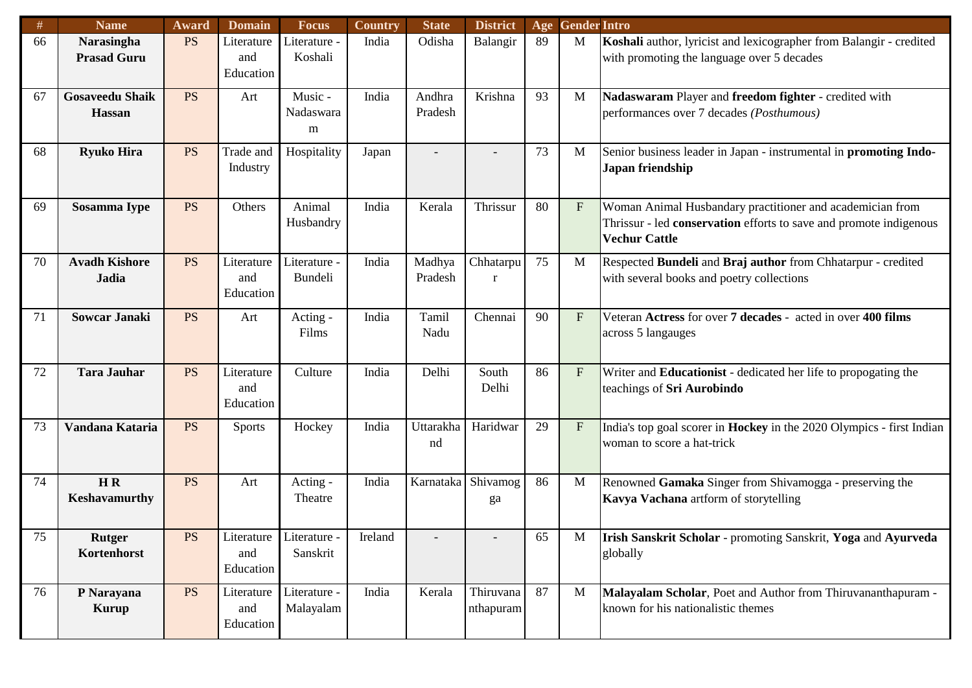| #      | <b>Name</b>                             | Award     | <b>Domain</b>                             | <b>Focus</b>                   | <b>Country</b> | <b>State</b>      | <b>District</b>        | Age | <b>Gender Intro</b> |                                                                                                                                                         |
|--------|-----------------------------------------|-----------|-------------------------------------------|--------------------------------|----------------|-------------------|------------------------|-----|---------------------|---------------------------------------------------------------------------------------------------------------------------------------------------------|
| 66     | <b>Narasingha</b><br><b>Prasad Guru</b> | <b>PS</b> | Literature<br>and<br>Education            | Literature -<br>Koshali        | India          | Odisha            | Balangir               | 89  | M                   | Koshali author, lyricist and lexicographer from Balangir - credited<br>with promoting the language over 5 decades                                       |
| 67     | <b>Gosaveedu Shaik</b><br><b>Hassan</b> | <b>PS</b> | Art                                       | Music -<br>Nadaswara<br>m      | India          | Andhra<br>Pradesh | Krishna                | 93  | M                   | Nadaswaram Player and freedom fighter - credited with<br>performances over 7 decades (Posthumous)                                                       |
| 68     | <b>Ryuko Hira</b>                       | <b>PS</b> | Trade and<br>Industry                     | Hospitality                    | Japan          |                   |                        | 73  | M                   | Senior business leader in Japan - instrumental in promoting Indo-<br>Japan friendship                                                                   |
| 69     | Sosamma Iype                            | <b>PS</b> | Others                                    | Animal<br>Husbandry            | India          | Kerala            | Thrissur               | 80  | F                   | Woman Animal Husbandary practitioner and academician from<br>Thrissur - led conservation efforts to save and promote indigenous<br><b>Vechur Cattle</b> |
| 70     | <b>Avadh Kishore</b><br><b>Jadia</b>    | <b>PS</b> | Literature<br>and<br>Education            | Literature -<br><b>Bundeli</b> | India          | Madhya<br>Pradesh | Chhatarpu<br>r         | 75  | M                   | Respected Bundeli and Braj author from Chhatarpur - credited<br>with several books and poetry collections                                               |
| 71     | <b>Sowcar Janaki</b>                    | <b>PS</b> | Art                                       | Acting -<br>Films              | India          | Tamil<br>Nadu     | Chennai                | 90  | F                   | Veteran Actress for over 7 decades - acted in over 400 films<br>across 5 langauges                                                                      |
| 72     | <b>Tara Jauhar</b>                      | <b>PS</b> | Literature<br>and<br>Education            | Culture                        | India          | Delhi             | South<br>Delhi         | 86  | F                   | Writer and Educationist - dedicated her life to propogating the<br>teachings of Sri Aurobindo                                                           |
| 73     | Vandana Kataria                         | <b>PS</b> | <b>Sports</b>                             | Hockey                         | India          | Uttarakha<br>nd   | Haridwar               | 29  | F                   | India's top goal scorer in Hockey in the 2020 Olympics - first Indian<br>woman to score a hat-trick                                                     |
| 74     | H R<br>Keshavamurthy                    | <b>PS</b> | Art                                       | Acting -<br>Theatre            | India          | Karnataka         | Shivamog<br>ga         | 86  | M                   | Renowned Gamaka Singer from Shivamogga - preserving the<br>Kavya Vachana artform of storytelling                                                        |
| $75\,$ | <b>Rutger</b><br>Kortenhorst            | <b>PS</b> | Literature Literature<br>and<br>Education | Sanskrit                       | Ireland        |                   |                        | 65  | M                   | Irish Sanskrit Scholar - promoting Sanskrit, Yoga and Ayurveda<br>globally                                                                              |
| 76     | P Narayana<br>Kurup                     | <b>PS</b> | Literature<br>and<br>Education            | Literature -<br>Malayalam      | India          | Kerala            | Thiruvana<br>nthapuram | 87  | $\mathbf{M}$        | Malayalam Scholar, Poet and Author from Thiruvananthapuram -<br>known for his nationalistic themes                                                      |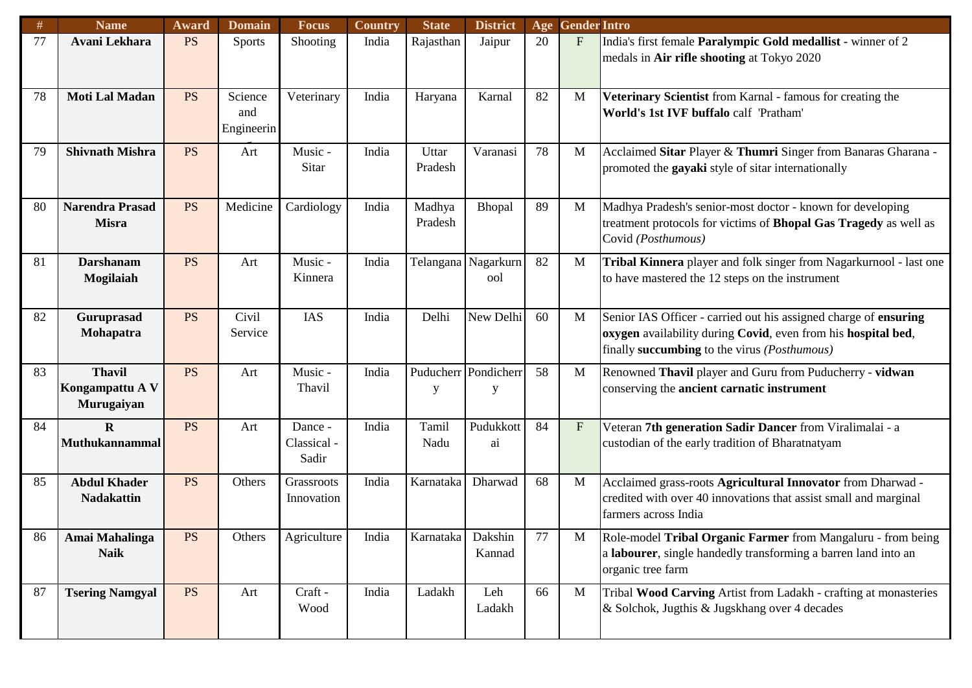| #  | <b>Name</b>                                    | Award     | <b>Domain</b>                | <b>Focus</b>                    | Country | <b>State</b>      | <b>District</b>            | Age | <b>Gender Intro</b>       |                                                                                                                                                                                   |
|----|------------------------------------------------|-----------|------------------------------|---------------------------------|---------|-------------------|----------------------------|-----|---------------------------|-----------------------------------------------------------------------------------------------------------------------------------------------------------------------------------|
| 77 | Avani Lekhara                                  | <b>PS</b> | <b>Sports</b>                | Shooting                        | India   | Rajasthan         | Jaipur                     | 20  | F                         | India's first female Paralympic Gold medallist - winner of 2<br>medals in Air rifle shooting at Tokyo 2020                                                                        |
| 78 | <b>Moti Lal Madan</b>                          | <b>PS</b> | Science<br>and<br>Engineerin | Veterinary                      | India   | Haryana           | Karnal                     | 82  | M                         | Veterinary Scientist from Karnal - famous for creating the<br>World's 1st IVF buffalo calf 'Pratham'                                                                              |
| 79 | <b>Shivnath Mishra</b>                         | <b>PS</b> | Art                          | Music -<br>Sitar                | India   | Uttar<br>Pradesh  | Varanasi                   | 78  | M                         | Acclaimed Sitar Player & Thumri Singer from Banaras Gharana -<br>promoted the gayaki style of sitar internationally                                                               |
| 80 | <b>Narendra Prasad</b><br><b>Misra</b>         | <b>PS</b> | Medicine                     | Cardiology                      | India   | Madhya<br>Pradesh | Bhopal                     | 89  | M                         | Madhya Pradesh's senior-most doctor - known for developing<br>treatment protocols for victims of Bhopal Gas Tragedy as well as<br>Covid (Posthumous)                              |
| 81 | <b>Darshanam</b><br>Mogilaiah                  | <b>PS</b> | Art                          | Music -<br>Kinnera              | India   |                   | Telangana Nagarkurn<br>ool | 82  | M                         | Tribal Kinnera player and folk singer from Nagarkurnool - last one<br>to have mastered the 12 steps on the instrument                                                             |
| 82 | Guruprasad<br>Mohapatra                        | <b>PS</b> | Civil<br>Service             | IAS                             | India   | Delhi             | New Delhi                  | 60  | M                         | Senior IAS Officer - carried out his assigned charge of ensuring<br>oxygen availability during Covid, even from his hospital bed,<br>finally succumbing to the virus (Posthumous) |
| 83 | <b>Thavil</b><br>Kongampattu A V<br>Murugaiyan | <b>PS</b> | Art                          | Music -<br>Thavil               | India   | у                 | Puducherr Pondicherr<br>у  | 58  | M                         | Renowned Thavil player and Guru from Puducherry - vidwan<br>conserving the ancient carnatic instrument                                                                            |
| 84 | $\mathbf{R}$<br><b>Muthukannammal</b>          | <b>PS</b> | Art                          | Dance -<br>Classical -<br>Sadir | India   | Tamil<br>Nadu     | Pudukkott<br>ai            | 84  | $\boldsymbol{\mathrm{F}}$ | Veteran 7th generation Sadir Dancer from Viralimalai - a<br>custodian of the early tradition of Bharatnatyam                                                                      |
| 85 | <b>Abdul Khader</b><br><b>Nadakattin</b>       | <b>PS</b> | Others                       | Grassroots<br>Innovation        | India   | Karnataka         | Dharwad                    | 68  | M                         | Acclaimed grass-roots Agricultural Innovator from Dharwad -<br>credited with over 40 innovations that assist small and marginal<br>farmers across India                           |
| 86 | Amai Mahalinga<br><b>Naik</b>                  | <b>PS</b> | Others                       | Agriculture                     | India   | Karnataka Dakshin | Kannad                     | 77  | M                         | Role-model Tribal Organic Farmer from Mangaluru - from being<br>a labourer, single handedly transforming a barren land into an<br>organic tree farm                               |
| 87 | <b>Tsering Namgyal</b>                         | <b>PS</b> | Art                          | Craft -<br>Wood                 | India   | Ladakh            | Leh<br>Ladakh              | 66  | $\mathbf{M}$              | Tribal Wood Carving Artist from Ladakh - crafting at monasteries<br>& Solchok, Jugthis & Jugskhang over 4 decades                                                                 |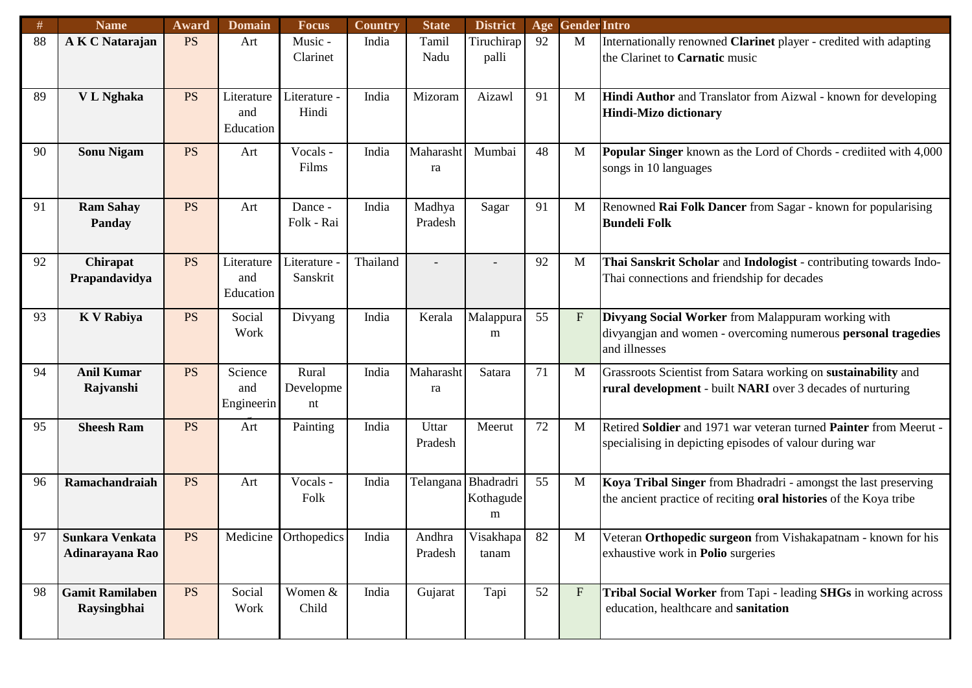| #  | <b>Name</b>                           | Award     | <b>Domain</b>                  | <b>Focus</b>             | Country  | <b>State</b>        | <b>District</b>     | Age | <b>Gender Intro</b> |                                                                                                                                      |
|----|---------------------------------------|-----------|--------------------------------|--------------------------|----------|---------------------|---------------------|-----|---------------------|--------------------------------------------------------------------------------------------------------------------------------------|
| 88 | A K C Natarajan                       | <b>PS</b> | Art                            | Music -<br>Clarinet      | India    | Tamil<br>Nadu       | Tiruchirap<br>palli | 92  | M                   | Internationally renowned Clarinet player - credited with adapting<br>the Clarinet to Carnatic music                                  |
| 89 | V L Nghaka                            | <b>PS</b> | Literature<br>and<br>Education | Literature -<br>Hindi    | India    | Mizoram             | Aizawl              | 91  | M                   | Hindi Author and Translator from Aizwal - known for developing<br><b>Hindi-Mizo dictionary</b>                                       |
| 90 | <b>Sonu Nigam</b>                     | <b>PS</b> | Art                            | Vocals -<br>Films        | India    | Maharasht<br>ra     | Mumbai              | 48  | M                   | <b>Popular Singer</b> known as the Lord of Chords - credited with 4,000<br>songs in 10 languages                                     |
| 91 | <b>Ram Sahay</b><br>Panday            | <b>PS</b> | Art                            | Dance -<br>Folk - Rai    | India    | Madhya<br>Pradesh   | Sagar               | 91  | M                   | Renowned Rai Folk Dancer from Sagar - known for popularising<br><b>Bundeli Folk</b>                                                  |
| 92 | Chirapat<br>Prapandavidya             | <b>PS</b> | Literature<br>and<br>Education | Literature<br>Sanskrit   | Thailand |                     |                     | 92  | M                   | Thai Sanskrit Scholar and Indologist - contributing towards Indo-<br>Thai connections and friendship for decades                     |
| 93 | <b>K V Rabiya</b>                     | <b>PS</b> | Social<br>Work                 | Divyang                  | India    | Kerala              | Malappura<br>m      | 55  | $\mathbf{F}$        | Divyang Social Worker from Malappuram working with<br>divyangjan and women - overcoming numerous personal tragedies<br>and illnesses |
| 94 | <b>Anil Kumar</b><br>Rajvanshi        | <b>PS</b> | Science<br>and<br>Engineerin   | Rural<br>Developme<br>nt | India    | Maharasht<br>ra     | Satara              | 71  | M                   | Grassroots Scientist from Satara working on sustainability and<br>rural development - built NARI over 3 decades of nurturing         |
| 95 | <b>Sheesh Ram</b>                     | <b>PS</b> | Art                            | Painting                 | India    | Uttar<br>Pradesh    | Meerut              | 72  | M                   | Retired Soldier and 1971 war veteran turned Painter from Meerut -<br>specialising in depicting episodes of valour during war         |
| 96 | Ramachandraiah                        | <b>PS</b> | Art                            | Vocals -<br>Folk         | India    | Telangana Bhadradri | Kothagude<br>m      | 55  | M                   | Koya Tribal Singer from Bhadradri - amongst the last preserving<br>the ancient practice of reciting oral histories of the Koya tribe |
| 97 | Sunkara Venkata<br>Adinarayana Rao    | <b>PS</b> |                                | Medicine Orthopedics     | India    | Andhra<br>Pradesh   | Visakhapa<br>tanam  | 82  | M                   | Veteran Orthopedic surgeon from Vishakapatnam - known for his<br>exhaustive work in <b>Polio</b> surgeries                           |
| 98 | <b>Gamit Ramilaben</b><br>Raysingbhai | <b>PS</b> | Social<br>Work                 | Women &<br>Child         | India    | Gujarat             | Tapi                | 52  | $\mathbf{F}$        | Tribal Social Worker from Tapi - leading SHGs in working across<br>education, healthcare and sanitation                              |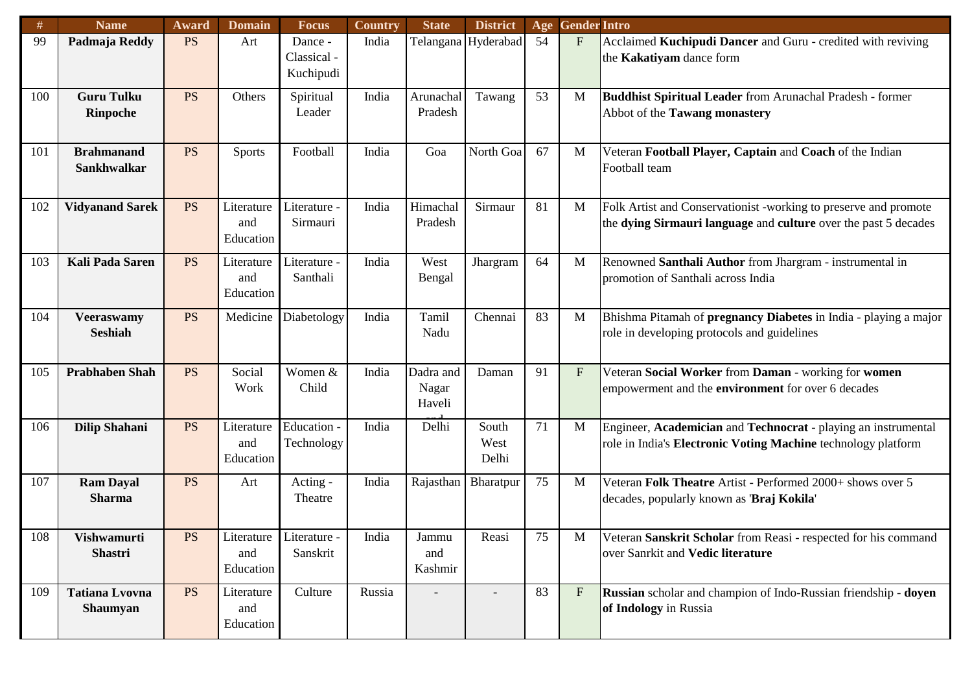| #   | <b>Name</b>            | Award     | <b>Domain</b>         | <b>Focus</b> | <b>Country</b> | <b>State</b> | <b>District</b> | Age | <b>Gender Intro</b> |                                                                  |
|-----|------------------------|-----------|-----------------------|--------------|----------------|--------------|-----------------|-----|---------------------|------------------------------------------------------------------|
| 99  | Padmaja Reddy          | <b>PS</b> | Art                   | Dance -      | India          | Telangana    | Hyderabad       | 54  | $\mathbf{F}$        | Acclaimed Kuchipudi Dancer and Guru - credited with reviving     |
|     |                        |           |                       | Classical -  |                |              |                 |     |                     | the Kakatiyam dance form                                         |
|     |                        |           |                       | Kuchipudi    |                |              |                 |     |                     |                                                                  |
| 100 | <b>Guru Tulku</b>      | <b>PS</b> | Others                | Spiritual    | India          | Arunachal    | Tawang          | 53  | M                   | Buddhist Spiritual Leader from Arunachal Pradesh - former        |
|     | <b>Rinpoche</b>        |           |                       | Leader       |                | Pradesh      |                 |     |                     | Abbot of the Tawang monastery                                    |
|     |                        |           |                       |              |                |              |                 |     |                     |                                                                  |
| 101 | <b>Brahmanand</b>      | <b>PS</b> | <b>Sports</b>         | Football     | India          | Goa          | North Goa       | 67  | M                   | Veteran Football Player, Captain and Coach of the Indian         |
|     | <b>Sankhwalkar</b>     |           |                       |              |                |              |                 |     |                     | Football team                                                    |
|     |                        |           |                       |              |                |              |                 |     |                     |                                                                  |
| 102 | <b>Vidyanand Sarek</b> | <b>PS</b> | Literature            | Literature - | India          | Himachal     | Sirmaur         | 81  | M                   | Folk Artist and Conservationist -working to preserve and promote |
|     |                        |           | and                   | Sirmauri     |                | Pradesh      |                 |     |                     | the dying Sirmauri language and culture over the past 5 decades  |
|     |                        |           | Education             |              |                |              |                 |     |                     |                                                                  |
|     |                        |           |                       |              |                |              |                 |     |                     |                                                                  |
| 103 | <b>Kali Pada Saren</b> | <b>PS</b> | Literature            | Literature - | India          | West         | Jhargram        | 64  | M                   | Renowned Santhali Author from Jhargram - instrumental in         |
|     |                        |           | and<br>Education      | Santhali     |                | Bengal       |                 |     |                     | promotion of Santhali across India                               |
|     |                        |           |                       |              |                |              |                 |     |                     |                                                                  |
| 104 | <b>Veeraswamy</b>      | <b>PS</b> | Medicine              | Diabetology  | India          | Tamil        | Chennai         | 83  | M                   | Bhishma Pitamah of pregnancy Diabetes in India - playing a major |
|     | <b>Seshiah</b>         |           |                       |              |                | Nadu         |                 |     |                     | role in developing protocols and guidelines                      |
|     |                        |           |                       |              |                |              |                 |     |                     |                                                                  |
| 105 | <b>Prabhaben Shah</b>  | <b>PS</b> | Social                | Women &      | India          | Dadra and    | Daman           | 91  | $\mathbf{F}$        | Veteran Social Worker from Daman - working for women             |
|     |                        |           | Work                  | Child        |                | Nagar        |                 |     |                     | empowerment and the environment for over 6 decades               |
|     |                        |           |                       |              |                | Haveli       |                 |     |                     |                                                                  |
| 106 | <b>Dilip Shahani</b>   | <b>PS</b> | Literature            | Education -  | India          | Delhi        | South           | 71  | M                   | Engineer, Academician and Technocrat - playing an instrumental   |
|     |                        |           | and                   | Technology   |                |              | West            |     |                     | role in India's Electronic Voting Machine technology platform    |
|     |                        |           | Education             |              |                |              | Delhi           |     |                     |                                                                  |
| 107 | <b>Ram Dayal</b>       | <b>PS</b> | Art                   | Acting -     | India          | Rajasthan    | Bharatpur       | 75  | M                   | Veteran Folk Theatre Artist - Performed 2000+ shows over 5       |
|     | <b>Sharma</b>          |           |                       | Theatre      |                |              |                 |     |                     | decades, popularly known as 'Braj Kokila'                        |
|     |                        |           |                       |              |                |              |                 |     |                     |                                                                  |
| 108 | Vishwamurti            | <b>PS</b> | Literature Literature |              | India          | Jammu        | Reasi           | 75  | $\mathbf M$         | Veteran Sanskrit Scholar from Reasi - respected for his command  |
|     | <b>Shastri</b>         |           | and                   | Sanskrit     |                | and          |                 |     |                     | over Sanrkit and Vedic literature                                |
|     |                        |           | Education             |              |                | Kashmir      |                 |     |                     |                                                                  |
| 109 | <b>Tatiana Lvovna</b>  | <b>PS</b> | Literature            | Culture      | Russia         |              |                 | 83  | F                   | Russian scholar and champion of Indo-Russian friendship - doyen  |
|     | <b>Shaumyan</b>        |           | and                   |              |                |              |                 |     |                     | of Indology in Russia                                            |
|     |                        |           | Education             |              |                |              |                 |     |                     |                                                                  |
|     |                        |           |                       |              |                |              |                 |     |                     |                                                                  |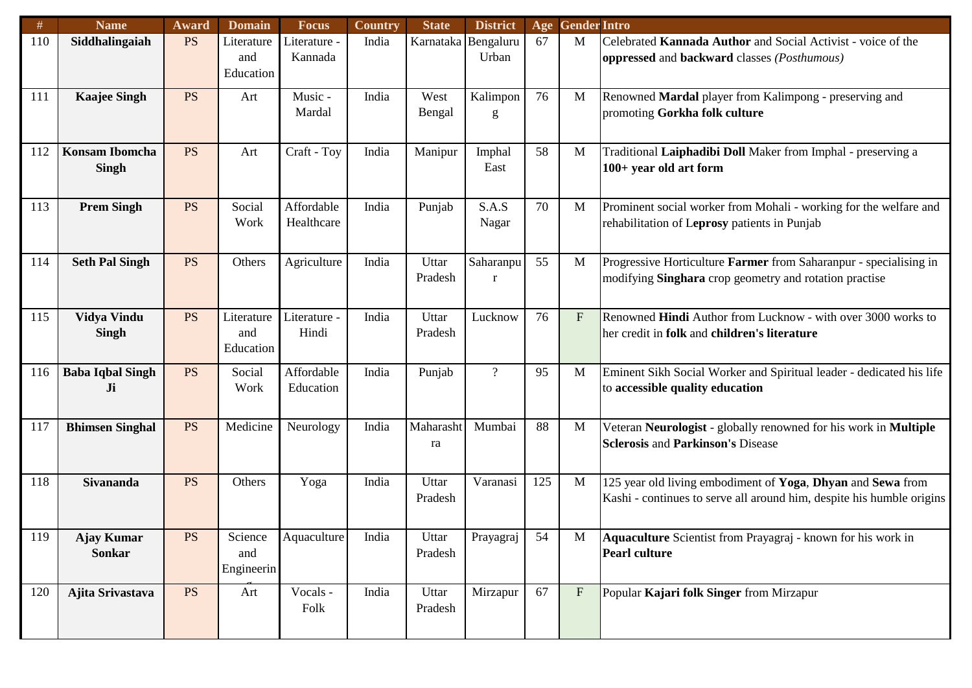| #   | <b>Name</b>                           | Award     | <b>Domain</b>                  | <b>Focus</b>             | Country | <b>State</b>        | <b>District</b> | Age | <b>Gender Intro</b> |                                                                                                                                      |
|-----|---------------------------------------|-----------|--------------------------------|--------------------------|---------|---------------------|-----------------|-----|---------------------|--------------------------------------------------------------------------------------------------------------------------------------|
| 110 | Siddhalingaiah                        | <b>PS</b> | Literature<br>and<br>Education | iterature -<br>Kannada   | India   | Karnataka Bengaluru | Urban           | 67  | M                   | Celebrated Kannada Author and Social Activist - voice of the<br>oppressed and backward classes (Posthumous)                          |
|     |                                       |           |                                |                          |         |                     |                 |     |                     |                                                                                                                                      |
| 111 | <b>Kaajee Singh</b>                   | <b>PS</b> | Art                            | Music -<br>Mardal        | India   | West<br>Bengal      | Kalimpon<br>g   | 76  | M                   | Renowned Mardal player from Kalimpong - preserving and<br>promoting Gorkha folk culture                                              |
| 112 | <b>Konsam Ibomcha</b><br><b>Singh</b> | <b>PS</b> | Art                            | Craft - Toy              | India   | Manipur             | Imphal<br>East  | 58  | M                   | Traditional Laiphadibi Doll Maker from Imphal - preserving a<br>100+ year old art form                                               |
| 113 | <b>Prem Singh</b>                     | <b>PS</b> | Social<br>Work                 | Affordable<br>Healthcare | India   | Punjab              | S.A.S<br>Nagar  | 70  | M                   | Prominent social worker from Mohali - working for the welfare and<br>rehabilitation of Leprosy patients in Punjab                    |
| 114 | <b>Seth Pal Singh</b>                 | <b>PS</b> | Others                         | Agriculture              | India   | Uttar<br>Pradesh    | Saharanpu<br>r  | 55  | M                   | Progressive Horticulture Farmer from Saharanpur - specialising in<br>modifying Singhara crop geometry and rotation practise          |
| 115 | Vidya Vindu<br><b>Singh</b>           | <b>PS</b> | Literature<br>and<br>Education | Literature -<br>Hindi    | India   | Uttar<br>Pradesh    | Lucknow         | 76  | $F_{\rm}$           | Renowned Hindi Author from Lucknow - with over 3000 works to<br>her credit in folk and children's literature                         |
| 116 | <b>Baba Iqbal Singh</b><br>Ji         | <b>PS</b> | Social<br>Work                 | Affordable<br>Education  | India   | Punjab              | $\overline{?}$  | 95  | M                   | Eminent Sikh Social Worker and Spiritual leader - dedicated his life<br>to accessible quality education                              |
| 117 | <b>Bhimsen Singhal</b>                | <b>PS</b> | Medicine                       | Neurology                | India   | Maharasht<br>ra     | Mumbai          | 88  | M                   | Veteran Neurologist - globally renowned for his work in Multiple<br><b>Sclerosis and Parkinson's Disease</b>                         |
| 118 | <b>Sivananda</b>                      | <b>PS</b> | Others                         | Yoga                     | India   | Uttar<br>Pradesh    | Varanasi        | 125 | M                   | 125 year old living embodiment of Yoga, Dhyan and Sewa from<br>Kashi - continues to serve all around him, despite his humble origins |
| 119 | <b>Ajay Kumar</b><br><b>Sonkar</b>    | <b>PS</b> | Science<br>and<br>Engineerin   | Aquaculture              | India   | Uttar<br>Pradesh    | Prayagraj       | 54  | M                   | Aquaculture Scientist from Prayagraj - known for his work in<br><b>Pearl culture</b>                                                 |
| 120 | Ajita Srivastava                      | <b>PS</b> | Art                            | Vocals -<br>Folk         | India   | Uttar<br>Pradesh    | Mirzapur        | 67  | F                   | Popular Kajari folk Singer from Mirzapur                                                                                             |